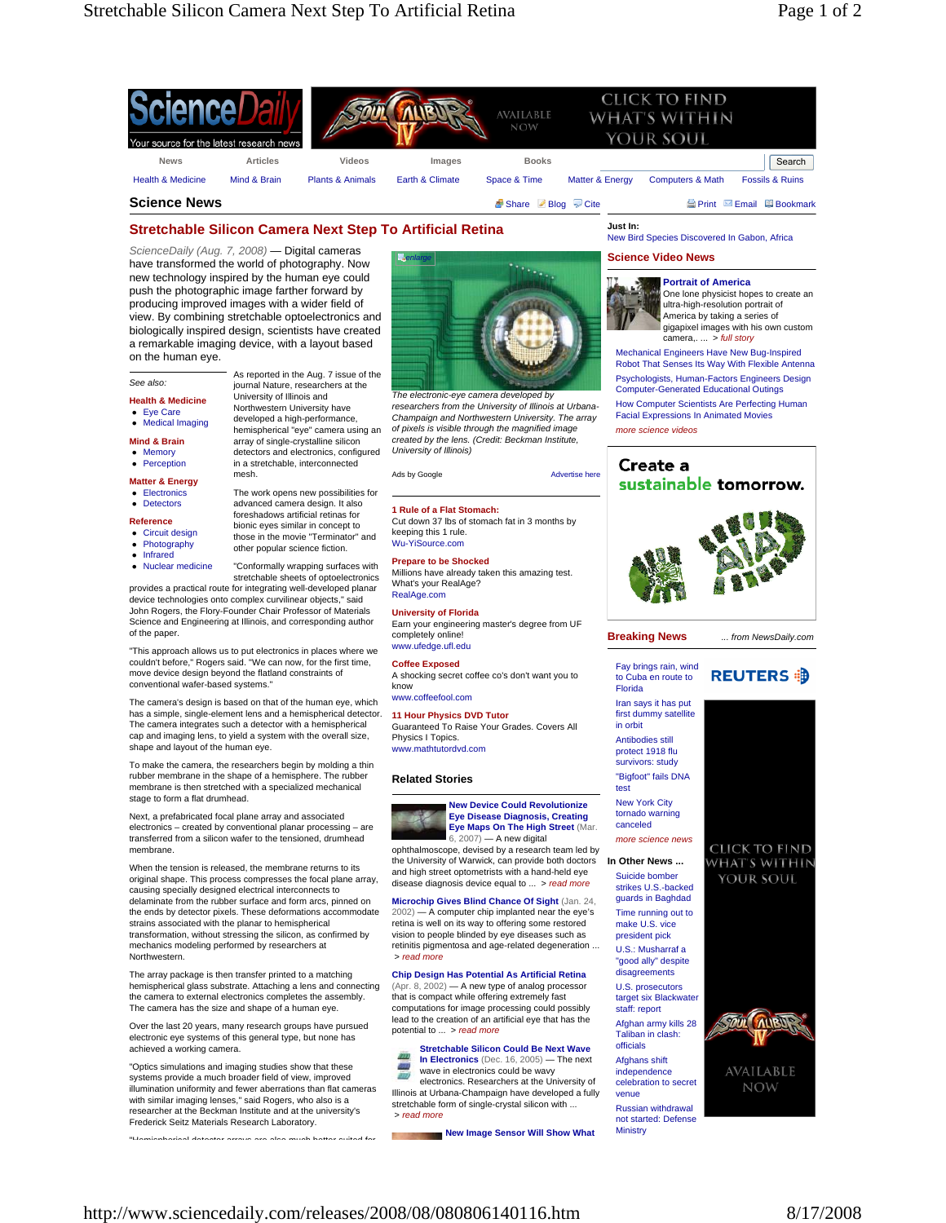

# **Stretchable Silicon Camera Next Step To Artificial Retina**

As reported in the Aug. 7 issue of the journal Nature, researchers at the University of Illinois and Northwestern University have developed a high-performance, hemispherical "eye" camera using an array of single-crystalline silicon detectors and electronics, configured in a stretchable, interconnected

*ScienceDaily (Aug. 7, 2008)* — Digital cameras have transformed the world of photography. Now new technology inspired by the human eye could push the photographic image farther forward by producing improved images with a wider field of view. By combining stretchable optoelectronics and biologically inspired design, scientists have created a remarkable imaging device, with a layout based on the human eye.

## *See also:*

### **Health & Medicine**

- $\bullet$  Eye Care
- Medical Imaging

- **Mind & Brain**
- Memory

# • Perception

- **Matter & Energy** • Electronics
- Detectors The work opens new possibilities for advanced camera design. It also foreshadows artificial retinas for

#### **Reference**

- Circuit design
- Photography
- **Infrared** • Nuclear medicine
- those in the movie "Terminator" and "Conformally wrapping surfaces with

bionic eyes similar in concept to

other popular science fiction.

stretchable sheets of optoelectronics provides a practical route for integrating well-developed planar device technologies onto complex curvilinear objects," said

John Rogers, the Flory-Founder Chair Professor of Materials Science and Engineering at Illinois, and corresponding author of the paper.

mesh.

"This approach allows us to put electronics in places where we couldn't before," Rogers said. "We can now, for the first time, move device design beyond the flatland constraints of conventional wafer-based systems."

The camera's design is based on that of the human eye, which has a simple, single-element lens and a hemispherical detector. The camera integrates such a detector with a hemispherical cap and imaging lens, to yield a system with the overall size, shape and layout of the human eye.

To make the camera, the researchers begin by molding a thin rubber membrane in the shape of a hemisphere. The rubber membrane is then stretched with a specialized mechanical stage to form a flat drumhead.

Next, a prefabricated focal plane array and associated electronics – created by conventional planar processing – are transferred from a silicon wafer to the tensioned, drumhead membrane.

When the tension is released, the membrane returns to its original shape. This process compresses the focal plane array, causing specially designed electrical interconnects to delaminate from the rubber surface and form arcs, pinned on the ends by detector pixels. These deformations accommo strains associated with the planar to hemispherical transformation, without stressing the silicon, as confirmed by mechanics modeling performed by researchers at **Northwestern** 

The array package is then transfer printed to a matching hemispherical glass substrate. Attaching a lens and connecting the camera to external electronics completes the assembly. The camera has the size and shape of a human eye.

Over the last 20 years, many research groups have pursued electronic eye systems of this general type, but none has achieved a working camera.

"Optics simulations and imaging studies show that these systems provide a much broader field of view, improved illumination uniformity and fewer aberrations than flat cameras with similar imaging lenses," said Rogers, who also is a researcher at the Beckman Institute and at the university's Frederick Seitz Materials Research Laboratory.

"Hemispherical detector arrays are also much better suited for



*The electronic-eye camera developed by researchers from the University of Illinois at Urbana-Champaign and Northwestern University. The array of pixels is visible through the magnified image created by the lens. (Credit: Beckman Institute, University of Illinois)*

Ads by Google **Advertise** here

### **1 Rule of a Flat Stomach:**

Cut down 37 lbs of stomach fat in 3 months by keeping this 1 rule. Wu-YiSource.com

#### **Prepare to be Shocked**

Millions have already taken this amazing test. What's your RealAge? RealAge.com

**University of Florida**

Earn your engineering master's degree from UF completely online! www.ufedge.ufl.edu

#### **Coffee Exposed**

A shocking secret coffee co's don't want you to know www.coffeefool.com

# **11 Hour Physics DVD Tutor**

Guaranteed To Raise Your Grades. Covers All Physics I Topics. www.mathtutordvd.com

## **Related Stories**



ophthalmoscope, devised by a research team led by the University of Warwick, can provide both doctors and high street optometrists with a hand-held eye disease diagnosis device equal to ... > *read more*

### **Microchip Gives Blind Chance Of Sight** (Jan. 24,

2002) — A computer chip implanted near the eye's retina is well on its way to offering some restored vision to people blinded by eye diseases such as retinitis pigmentosa and age-related degeneration ... > *read more*

# **Chip Design Has Potential As Artificial Retina**

(Apr. 8, 2002) — A new type of analog processor that is compact while offering extremely fast computations for image processing could possibly lead to the creation of an artificial eye that has the potential to ... > *read more*

**Stretchable Silicon Could Be Next Wave In Electronics** (Dec. 16, 2005) — The next wave in electronics could be wavy electronics. Researchers at the University of Illinois at Urbana-Champaign have developed a fully stretchable form of single-crystal silicon with ... > *read more*

**New Image Sensor Will Show What** 

**Just In:** New Bird Species Discovered In Gabon, Africa

#### **Science Video News**



**Portrait of America** One lone physicist hopes to create an ultra-high-resolution portrait of America by taking a series of gigapixel images with his own custom camera,. ... > *full story*

Mechanical Engineers Have New Bug-Inspired Robot That Senses Its Way With Flexible Antenna Psychologists, Human-Factors Engineers Design Computer-Generated Educational Outings How Computer Scientists Are Perfecting Human Facial Expressions In Animated Movies *more science videos*





### **Breaking News**

Fay brings rain, wind **REUTERS 部** to Cuba en route to Florida

Iran says it has put first dummy satellite in orbit Antibodies still protect 1918 flu survivors: study "Bigfoot" fails DNA

test New York City tornado warning

canceled *more science news*

**In Other News ...**  Suicide bomber strikes U.S.-backed guards in Baghdad Time running out to make U.S. vice president pick U.S.: Musharraf a "good ally" despite disagreements U.S. prosecutors target six Blackwater staff: report Afghan army kills 28 Taliban in clash: officials Afghans shift independence

*... from NewsDaily.com*



**NOW** 

venue